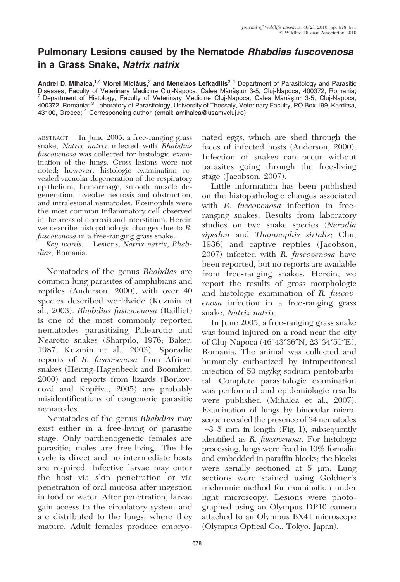## Pulmonary Lesions caused by the Nematode Rhabdias fuscovenosa in a Grass Snake, Natrix natrix

Andrei D. Mihalca,<sup>1,4</sup> Viorel Miclăus,<sup>2</sup> and Menelaos Lefkaditis<sup>3 1</sup> Department of Parasitology and Parasitic<br>Diseases, Faculty of Veterinary Medicine Cluj-Napoca, Calea Mănăștur 3-5, Cluj-Napoca, 400372, Romania; Department of Histology, Faculty of Veterinary Medicine Cluj-Napoca, Calea Mănăştur 3-5, Cluj-Napoca, 400372, Romania; <sup>3</sup> Laboratory of Parasitology, University of Thessaly, Veterinary Faculty, PO Box 199, Karditsa, 43100, Greece; <sup>4</sup> Corresponding author (email: amihalca@usamvcluj.ro)

ABSTRACT: In June 2005, a free-ranging grass snake, Natrix natrix infected with Rhabdias fuscovenosa was collected for histologic examination of the lungs. Gross lesions were not noted; however, histologic examination revealed vacuolar degeneration of the respiratory epithelium, hemorrhage, smooth muscle degeneration, faveolae necrosis and obstruction, and intralesional nematodes. Eosinophils were the most common inflammatory cell observed in the areas of necrosis and interstitium. Herein we describe histopathologic changes due to R. fuscovenosa in a free-ranging grass snake.

Key words: Lesions, Natrix natrix, Rhabdias, Romania.

Nematodes of the genus Rhabdias are common lung parasites of amphibians and reptiles (Anderson, 2000), with over 40 species described worldwide (Kuzmin et al., 2003). Rhabdias fuscovenosa (Railliet) is one of the most commonly reported nematodes parasitizing Palearctic and Nearctic snakes (Sharpilo, 1976; Baker, 1987; Kuzmin et al., 2003). Sporadic reports of R. fuscovenosa from African snakes (Hering-Hagenbeck and Boomker, 2000) and reports from lizards (Borkovcová and Kopřiva, 2005) are probably misidentifications of congeneric parasitic nematodes.

Nematodes of the genus Rhabdias may exist either in a free-living or parasitic stage. Only parthenogenetic females are parasitic; males are free-living. The life cycle is direct and no intermediate hosts are required. Infective larvae may enter the host via skin penetration or via penetration of oral mucosa after ingestion in food or water. After penetration, larvae gain access to the circulatory system and are distributed to the lungs, where they mature. Adult females produce embryonated eggs, which are shed through the feces of infected hosts (Anderson, 2000). Infection of snakes can occur without parasites going through the free-living stage (Jacobson, 2007).

Little information has been published on the histopathologic changes associated with R. fuscovenosa infection in freeranging snakes. Results from laboratory studies on two snake species (Nerodia sipedon and Thamnophis sirtalis; Chu, 1936) and captive reptiles (Jacobson, 2007) infected with R. fuscovenosa have been reported, but no reports are available from free-ranging snakes. Herein, we report the results of gross morphologic and histologic examination of R. fuscovenosa infection in a free-ranging grass snake, Natrix natrix.

In June 2005, a free-ranging grass snake was found injured on a road near the city of Cluj-Napoca (46°43'36"N, 23°34'51"E), Romania. The animal was collected and humanely euthanized by intraperitoneal injection of 50 mg/kg sodium pentobarbital. Complete parasitologic examination was performed and epidemiologic results were published (Mihalca et al., 2007). Examination of lungs by binocular microscope revealed the presence of 34 nematodes  $\sim$ 3–5 mm in length (Fig. 1), subsequently identified as R. fuscovenosa. For histologic processing, lungs were fixed in 10% formalin and embedded in paraffin blocks; the blocks were serially sectioned at  $5 \mu m$ . Lung sections were stained using Goldner's trichromic method for examination under light microscopy. Lesions were photographed using an Olympus DP10 camera attached to an Olympus BX41 microscope (Olympus Optical Co., Tokyo, Japan).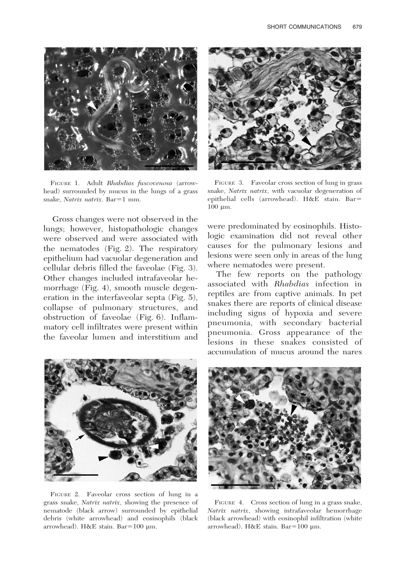

FIGURE 1. Adult Rhabdias fuscovenosa (arrowhead) surrounded by mucus in the lungs of a grass snake, Natrix natrix. Bar=1 mm.

Gross changes were not observed in the lungs; however, histopathologic changes were observed and were associated with the nematodes (Fig. 2). The respiratory epithelium had vacuolar degeneration and cellular debris filled the faveolae (Fig. 3). Other changes included intrafaveolar hemorrhage (Fig. 4), smooth muscle degeneration in the interfaveolar septa (Fig. 5), collapse of pulmonary structures, and obstruction of faveolae (Fig. 6). Inflammatory cell infiltrates were present within the faveolar lumen and interstitium and



FIGURE 3. Faveolar cross section of lung in grass snake, Natrix natrix, with vacuolar degeneration of epithelial cells (arrowhead). H&E stain. Bar=  $100 \mu m$ .

were predominated by eosinophils. Histologic examination did not reveal other causes for the pulmonary lesions and lesions were seen only in areas of the lung where nematodes were present.

The few reports on the pathology associated with Rhabdias infection in reptiles are from captive animals. In pet snakes there are reports of clinical disease including signs of hypoxia and severe pneumonia, with secondary bacterial pneumonia. Gross appearance of the lesions in these snakes consisted of accumulation of mucus around the nares



FIGURE 2. Faveolar cross section of lung in a grass snake, Natrix natrix, showing the presence of nematode (black arrow) surrounded by epithelial debris (white arrowhead) and eosinophils (black arrowhead). H&E stain. Bar=100  $\mu$ m.



FIGURE 4. Cross section of lung in a grass snake, Natrix natrix, showing intrafaveolar hemorrhage (black arrowhead) with eosinophil infiltration (white arrowhead). H&E stain. Bar= $100 \mu m$ .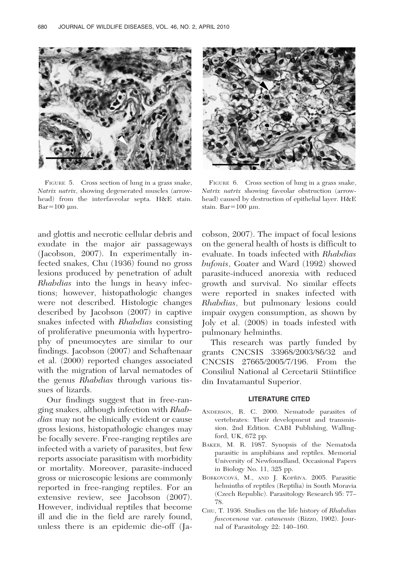

FIGURE 5. Cross section of lung in a grass snake, Natrix natrix, showing degenerated muscles (arrowhead) from the interfaveolar septa. H&E stain.  $Bar=100 \mu m$ .

and glottis and necrotic cellular debris and exudate in the major air passageways (Jacobson, 2007). In experimentally infected snakes, Chu (1936) found no gross lesions produced by penetration of adult Rhabdias into the lungs in heavy infections; however, histopathologic changes were not described. Histologic changes described by Jacobson (2007) in captive snakes infected with Rhabdias consisting of proliferative pneumonia with hypertrophy of pneumocytes are similar to our findings. Jacobson (2007) and Schaftenaar et al. (2000) reported changes associated with the migration of larval nematodes of the genus Rhabdias through various tissues of lizards.

Our findings suggest that in free-ranging snakes, although infection with Rhabdias may not be clinically evident or cause gross lesions, histopathologic changes may be focally severe. Free-ranging reptiles are infected with a variety of parasites, but few reports associate parasitism with morbidity or mortality. Moreover, parasite-induced gross or microscopic lesions are commonly reported in free-ranging reptiles. For an extensive review, see Jacobson (2007). However, individual reptiles that become ill and die in the field are rarely found, unless there is an epidemic die-off (Ja-



FIGURE 6. Cross section of lung in a grass snake, Natrix natrix showing faveolar obstruction (arrowhead) caused by destruction of epithelial layer. H&E stain. Bar $=100 \mu$ m.

cobson, 2007). The impact of focal lesions on the general health of hosts is difficult to evaluate. In toads infected with Rhabdias bufonis, Goater and Ward (1992) showed parasite-induced anorexia with reduced growth and survival. No similar effects were reported in snakes infected with Rhabdias, but pulmonary lesions could impair oxygen consumption, as shown by Joly et al. (2008) in toads infested with pulmonary helminths.

This research was partly funded by grants CNCSIS 33968/2003/86/32 and CNCSIS 27665/2005/7/196. From the Consiliul National al Cercetarii Stiintifice din Invatamantul Superior.

## LITERATURE CITED

- ANDERSON, R. C. 2000. Nematode parasites of vertebrates: Their development and transmission. 2nd Edition. CABI Publishing, Wallingford, UK, 672 pp.
- BAKER, M. R. 1987. Synopsis of the Nematoda parasitic in amphibians and reptiles. Memorial University of Newfoundland, Occasional Papers in Biology No. 11, 325 pp.
- BORKOVCOVÁ, M., AND J. KOPŘIVA. 2005. Parasitic helminths of reptiles (Reptilia) in South Moravia (Czech Republic). Parasitology Research 95: 77– 78.
- CHU, T. 1936. Studies on the life history of Rhabdias fuscovenosa var. catanensis (Rizzo, 1902). Journal of Parasitology 22: 140–160.